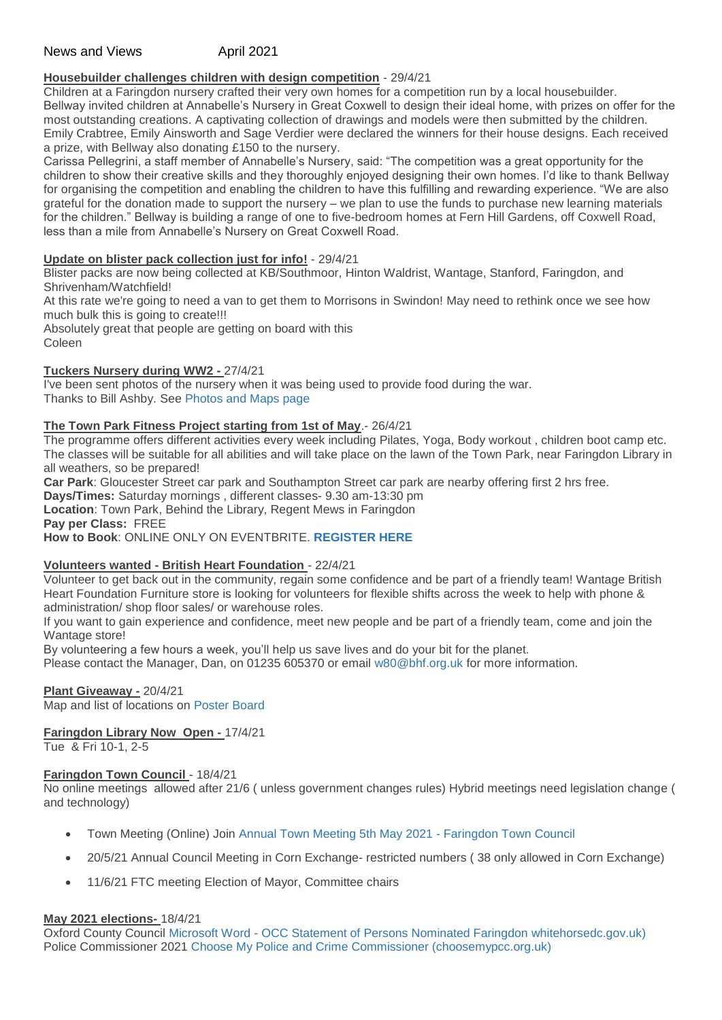# News and Views **April 2021**

## **Housebuilder challenges children with design competition** - 29/4/21

Children at a Faringdon nursery crafted their very own homes for a competition run by a local housebuilder. Bellway invited children at Annabelle's Nursery in Great Coxwell to design their ideal home, with prizes on offer for the most outstanding creations. A captivating collection of drawings and models were then submitted by the children. Emily Crabtree, Emily Ainsworth and Sage Verdier were declared the winners for their house designs. Each received a prize, with Bellway also donating £150 to the nursery.

Carissa Pellegrini, a staff member of Annabelle's Nursery, said: "The competition was a great opportunity for the children to show their creative skills and they thoroughly enjoyed designing their own homes. I'd like to thank Bellway for organising the competition and enabling the children to have this fulfilling and rewarding experience. "We are also grateful for the donation made to support the nursery – we plan to use the funds to purchase new learning materials for the children." Bellway is building a range of one to five-bedroom homes at Fern Hill Gardens, off Coxwell Road, less than a mile from Annabelle's Nursery on Great Coxwell Road.

#### **Update on blister pack collection just for info!** - 29/4/21

Blister packs are now being collected at KB/Southmoor, Hinton Waldrist, Wantage, Stanford, Faringdon, and Shrivenham/Watchfield!

At this rate we're going to need a van to get them to Morrisons in Swindon! May need to rethink once we see how much bulk this is going to create!!!

Absolutely great that people are getting on board with this Coleen

#### **Tuckers Nursery during WW2 -** 27/4/21

I've been sent photos of the nursery when it was being used to provide food during the war. Thanks to Bill Ashby. See [Photos and Maps page](http://weebly-link/797682794751586550)

## **The Town Park Fitness Project starting from 1st of May**.- 26/4/21

The programme offers different activities every week including Pilates, Yoga, Body workout , children boot camp etc. The classes will be suitable for all abilities and will take place on the lawn of the Town Park, near Faringdon Library in all weathers, so be prepared!

**Car Park**: Gloucester Street car park and Southampton Street car park are nearby offering first 2 hrs free.

**Days/Times:** Saturday mornings , different classes- 9.30 am-13:30 pm

**Location**: Town Park, Behind the Library, Regent Mews in Faringdon

**Pay per Class:** FREE

**How to Book**: ONLINE ONLY ON EVENTBRITE. **[REGISTER HERE](https://www.eventbrite.co.uk/e/town-park-fitness-project-tickets-151509299393)**

## **Volunteers wanted - British Heart Foundation** - 22/4/21

Volunteer to get back out in the community, regain some confidence and be part of a friendly team! Wantage British Heart Foundation Furniture store is looking for volunteers for flexible shifts across the week to help with phone & administration/ shop floor sales/ or warehouse roles.

If you want to gain experience and confidence, meet new people and be part of a friendly team, come and join the Wantage store!

By volunteering a few hours a week, you'll help us save lives and do your bit for the planet.

Please contact the Manager, Dan, on 01235 605370 or email [w80@bhf.org.uk](mailto:w80@bhf.org.uk) for more information.

#### **Plant Giveaway -** 20/4/21

Map and list of locations on [Poster Board](http://weebly-link/267885977289169690)

## **Faringdon Library Now Open -** 17/4/21

Tue & Fri 10-1, 2-5

## **Faringdon Town Council** - 18/4/21

No online meetings allowed after 21/6 ( unless government changes rules) Hybrid meetings need legislation change ( and technology)

- Town Meeting (Online) Join [Annual Town Meeting 5th May 2021 -](https://www.faringdontowncouncil.gov.uk/annual-town-meeting-5th-may-2021/) Faringdon Town Council
- 20/5/21 Annual Council Meeting in Corn Exchange- restricted numbers ( 38 only allowed in Corn Exchange)
- 11/6/21 FTC meeting Election of Mayor, Committee chairs

## **May 2021 elections-** 18/4/21

Oxford County Council Microsoft Word - [OCC Statement of Persons Nominated Faringdon whitehorsedc.gov.uk\)](https://www.whitehorsedc.gov.uk/wp-content/uploads/sites/3/2021/04/OCC-Statement-of-Persons-Nominated-Faringdon.pdf) Police Commissioner 2021 [Choose My Police and Crime Commissioner \(choosemypcc.org.uk\)](https://www.choosemypcc.org.uk/area/thames-valley)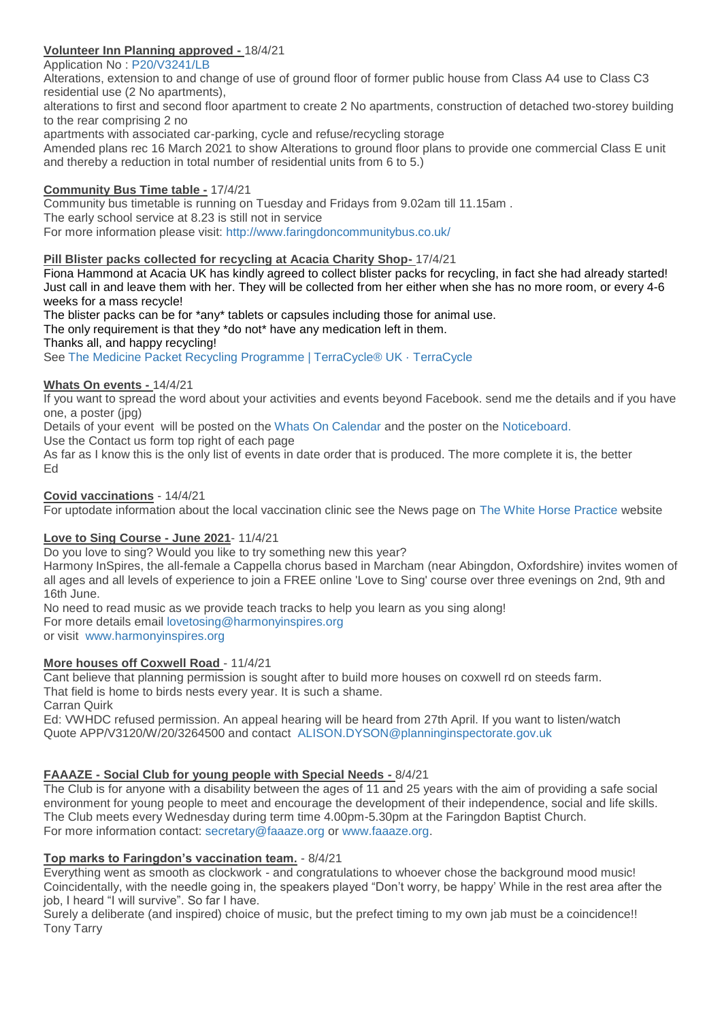## **Volunteer Inn Planning approved -** 18/4/21

Application No : [P20/V3241/LB](http://www.whitehorsedc.gov.uk/java/support/Main.jsp?MODULE=ApplicationDetails&REF=P20/V3239/FUL)

Alterations, extension to and change of use of ground floor of former public house from Class A4 use to Class C3 residential use (2 No apartments),

alterations to first and second floor apartment to create 2 No apartments, construction of detached two-storey building to the rear comprising 2 no

apartments with associated car-parking, cycle and refuse/recycling storage

Amended plans rec 16 March 2021 to show Alterations to ground floor plans to provide one commercial Class E unit and thereby a reduction in total number of residential units from 6 to 5.)

#### **Community Bus Time table -** 17/4/21

Community bus timetable is running on Tuesday and Fridays from 9.02am till 11.15am . The early school service at 8.23 is still not in service For more information please visit: [http://www.faringdoncommunitybus.co.uk/](http://www.faringdoncommunitybus.co.uk/?fbclid=IwAR0t1FyzDlGaa9XbDPodBzgdu9n815wAWJKv7KmWy1omTSXMpXC6ZvugHcQ)

#### **Pill Blister packs collected for recycling at Acacia Charity Shop-** 17/4/21

Fiona Hammond at Acacia UK has kindly agreed to collect blister packs for recycling, in fact she had already started! Just call in and leave them with her. They will be collected from her either when she has no more room, or every 4-6 weeks for a mass recycle!

The blister packs can be for \*any\* tablets or capsules including those for animal use.

The only requirement is that they \*do not\* have any medication left in them.

Thanks all, and happy recycling!

See [The Medicine Packet Recycling Programme | TerraCycle® UK · TerraCycle](https://www.terracycle.com/en-GB/brigades/medicine-packet-uk#how-it-works)

## **Whats On events -** 14/4/21

If you want to spread the word about your activities and events beyond Facebook. send me the details and if you have one, a poster (jpg)

Details of your event will be posted on the [Whats On Calendar](http://weebly-link/296825388337796533) and the poster on the [Noticeboard.](http://weebly-link/267885977289169690)

Use the Contact us form top right of each page

As far as I know this is the only list of events in date order that is produced. The more complete it is, the better Ed

#### **Covid vaccinations** - 14/4/21

For uptodate information about the local vaccination clinic see the News page on [The White Horse Practice](https://www.whmp.co.uk/homepage) website

## **Love to Sing Course - June 2021**- 11/4/21

Do you love to sing? Would you like to try something new this year?

Harmony InSpires, the all-female a Cappella chorus based in Marcham (near Abingdon, Oxfordshire) invites women of all ages and all levels of experience to join a FREE online 'Love to Sing' course over three evenings on 2nd, 9th and 16th June.

No need to read music as we provide teach tracks to help you learn as you sing along! For more details email [lovetosing@harmonyinspires.org](mailto:lovetosing@harmonyinspires.org) or visit [www.harmonyinspires.org](http://www.harmonyinspires.org/)

## **More houses off Coxwell Road** - 11/4/21

Cant believe that planning permission is sought after to build more houses on coxwell rd on steeds farm. That field is home to birds nests every year. It is such a shame. Carran Quirk

Ed: VWHDC refused permission. An appeal hearing will be heard from 27th April. If you want to listen/watch Quote APP/V3120/W/20/3264500 and contact [ALISON.DYSON@planninginspectorate.gov.uk](mailto:ALISON.DYSON@planninginspectorate.gov.uk)

## **FAAAZE - Social Club for young people with Special Needs -** 8/4/21

The Club is for anyone with a disability between the ages of 11 and 25 years with the aim of providing a safe social environment for young people to meet and encourage the development of their independence, social and life skills. The Club meets every Wednesday during term time 4.00pm-5.30pm at the Faringdon Baptist Church. For more information contact: [secretary@faaaze.org](mailto:secretary@faaaze.org) or [www.faaaze.org.](http://www.faaaze.org/)

## **Top marks to Faringdon's vaccination team.** - 8/4/21

Everything went as smooth as clockwork - and congratulations to whoever chose the background mood music! Coincidentally, with the needle going in, the speakers played "Don't worry, be happy' While in the rest area after the job, I heard "I will survive". So far I have.

Surely a deliberate (and inspired) choice of music, but the prefect timing to my own jab must be a coincidence!! Tony Tarry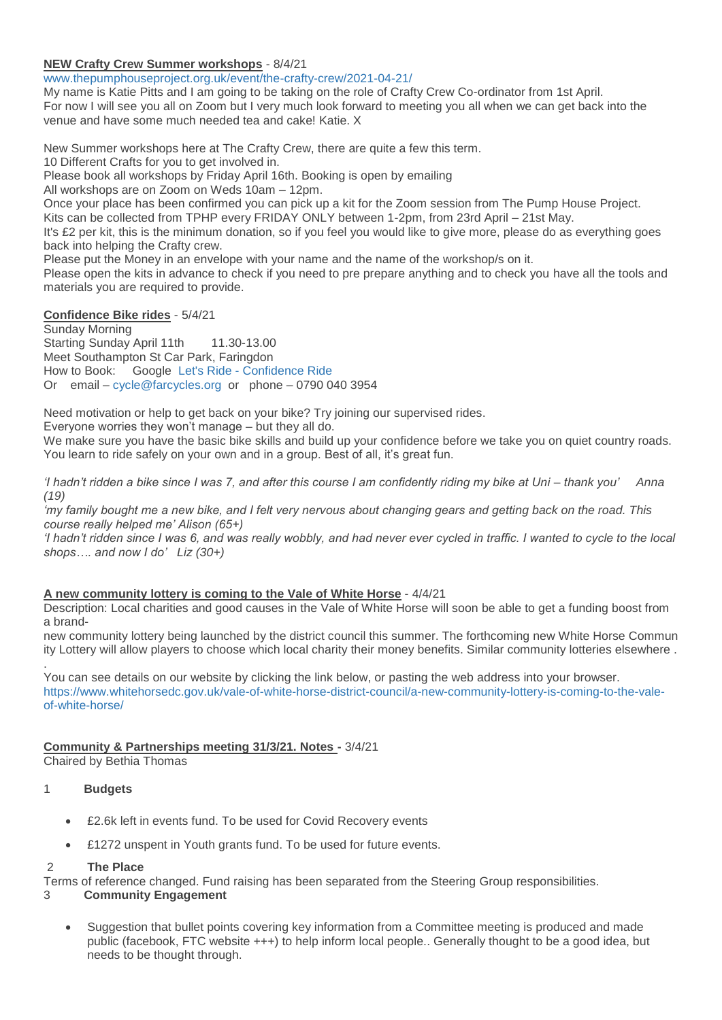## **NEW Crafty Crew Summer workshops** - 8/4/21

[www.thepumphouseproject.org.uk/event/the-crafty-crew/2021-04-21/](https://www.thepumphouseproject.org.uk/event/the-crafty-crew/2021-04-21/)

My name is Katie Pitts and I am going to be taking on the role of Crafty Crew Co-ordinator from 1st April. For now I will see you all on Zoom but I very much look forward to meeting you all when we can get back into the venue and have some much needed tea and cake! Katie. X

New Summer workshops here at The Crafty Crew, there are quite a few this term.

10 Different Crafts for you to get involved in.

Please book all workshops by Friday April 16th. Booking is open by emailing

All workshops are on Zoom on Weds 10am – 12pm.

Once your place has been confirmed you can pick up a kit for the Zoom session from The Pump House Project.

Kits can be collected from TPHP every FRIDAY ONLY between 1-2pm, from 23rd April – 21st May.

It's £2 per kit, this is the minimum donation, so if you feel you would like to give more, please do as everything goes back into helping the Crafty crew.

Please put the Money in an envelope with your name and the name of the workshop/s on it.

Please open the kits in advance to check if you need to pre prepare anything and to check you have all the tools and materials you are required to provide.

## **Confidence Bike rides** - 5/4/21

Sunday Morning Starting Sunday April 11th 11.30-13.00 Meet Southampton St Car Park, Faringdon How to Book: Google Let's Ride - [Confidence Ride](https://www.letsride.co.uk/rides/confidence-ride-9) Or email – [cycle@farcycles.org](mailto:cycle@farcycles.org) or phone – 0790 040 3954

Need motivation or help to get back on your bike? Try joining our supervised rides.

Everyone worries they won't manage – but they all do.

We make sure you have the basic bike skills and build up your confidence before we take you on quiet country roads. You learn to ride safely on your own and in a group. Best of all, it's great fun.

*'I hadn't ridden a bike since I was 7, and after this course I am confidently riding my bike at Uni – thank you' Anna (19)*

*'my family bought me a new bike, and I felt very nervous about changing gears and getting back on the road. This course really helped me' Alison (65+)*

*'I hadn't ridden since I was 6, and was really wobbly, and had never ever cycled in traffic. I wanted to cycle to the local shops…. and now I do' Liz (30+)*

## **A new community lottery is coming to the Vale of White Horse** - 4/4/21

Description: Local charities and good causes in the Vale of White Horse will soon be able to get a funding boost from a brand-

new community lottery being launched by the district council this summer. The forthcoming new White Horse Commun ity Lottery will allow players to choose which local charity their money benefits. Similar community lotteries elsewhere . .

You can see details on our website by clicking the link below, or pasting the web address into your browser. [https://www.whitehorsedc.gov.uk/vale-of-white-horse-district-council/a-new-community-lottery-is-coming-to-the-vale](https://www.whitehorsedc.gov.uk/vale-of-white-horse-district-council/a-new-community-lottery-is-coming-to-the-vale-of-white-horse/)[of-white-horse/](https://www.whitehorsedc.gov.uk/vale-of-white-horse-district-council/a-new-community-lottery-is-coming-to-the-vale-of-white-horse/)

## **Community & Partnerships meeting 31/3/21. Notes -** 3/4/21

Chaired by Bethia Thomas

## 1 **Budgets**

- £2.6k left in events fund. To be used for Covid Recovery events
- £1272 unspent in Youth grants fund. To be used for future events.

#### 2 **The Place**

Terms of reference changed. Fund raising has been separated from the Steering Group responsibilities.

#### 3 **Community Engagement**

 Suggestion that bullet points covering key information from a Committee meeting is produced and made public (facebook, FTC website +++) to help inform local people.. Generally thought to be a good idea, but needs to be thought through.